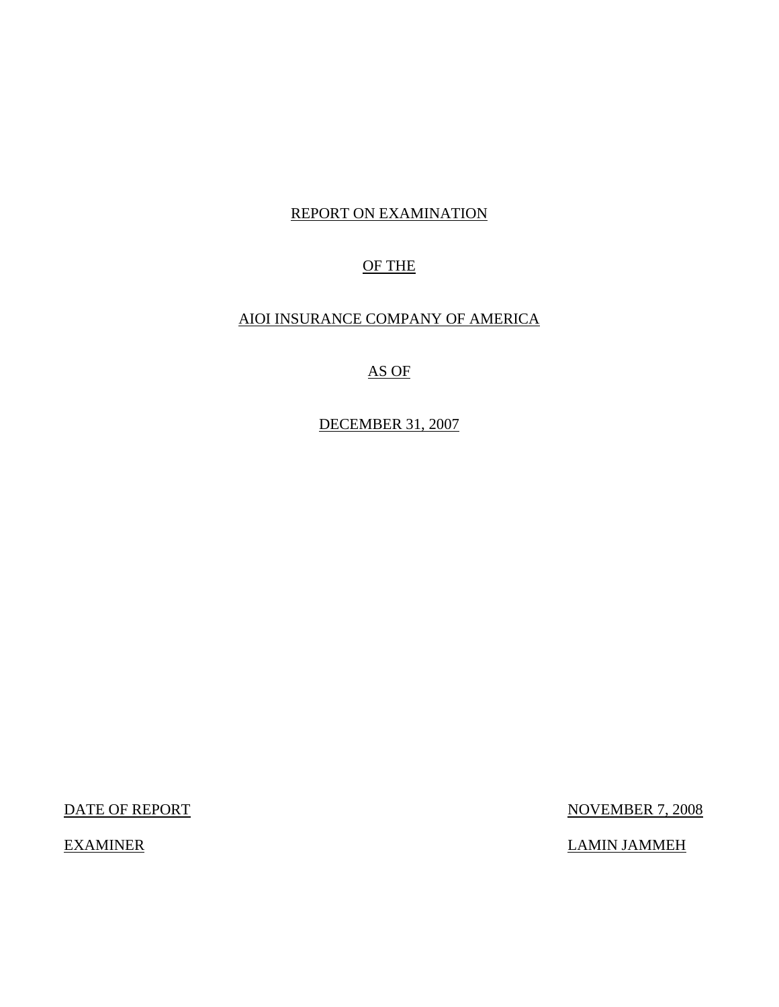# REPORT ON EXAMINATION

# OF THE

# AIOI INSURANCE COMPANY OF AMERICA

# AS OF

DECEMBER 31, 2007

DATE OF REPORT NOVEMBER 7, 2008

EXAMINER LAMIN JAMMEH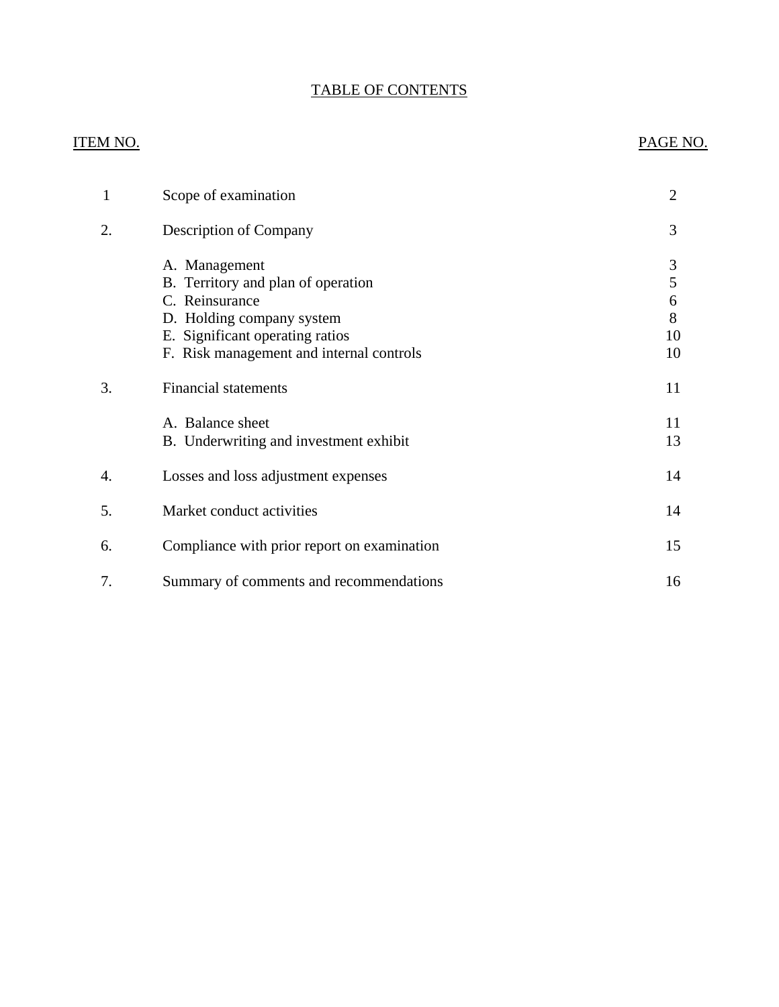# TABLE OF CONTENTS

# **ITEM NO.**

# PAGE NO.

| 1  | Scope of examination                                                                                                                                                              | $\overline{2}$               |
|----|-----------------------------------------------------------------------------------------------------------------------------------------------------------------------------------|------------------------------|
| 2. | Description of Company                                                                                                                                                            | 3                            |
|    | A. Management<br>B. Territory and plan of operation<br>C. Reinsurance<br>D. Holding company system<br>E. Significant operating ratios<br>F. Risk management and internal controls | 3<br>5<br>6<br>8<br>10<br>10 |
| 3. | <b>Financial statements</b>                                                                                                                                                       | 11                           |
|    | A. Balance sheet<br>B. Underwriting and investment exhibit                                                                                                                        | 11<br>13                     |
| 4. | Losses and loss adjustment expenses                                                                                                                                               | 14                           |
| 5. | Market conduct activities                                                                                                                                                         | 14                           |
| 6. | Compliance with prior report on examination                                                                                                                                       | 15                           |
| 7. | Summary of comments and recommendations                                                                                                                                           | 16                           |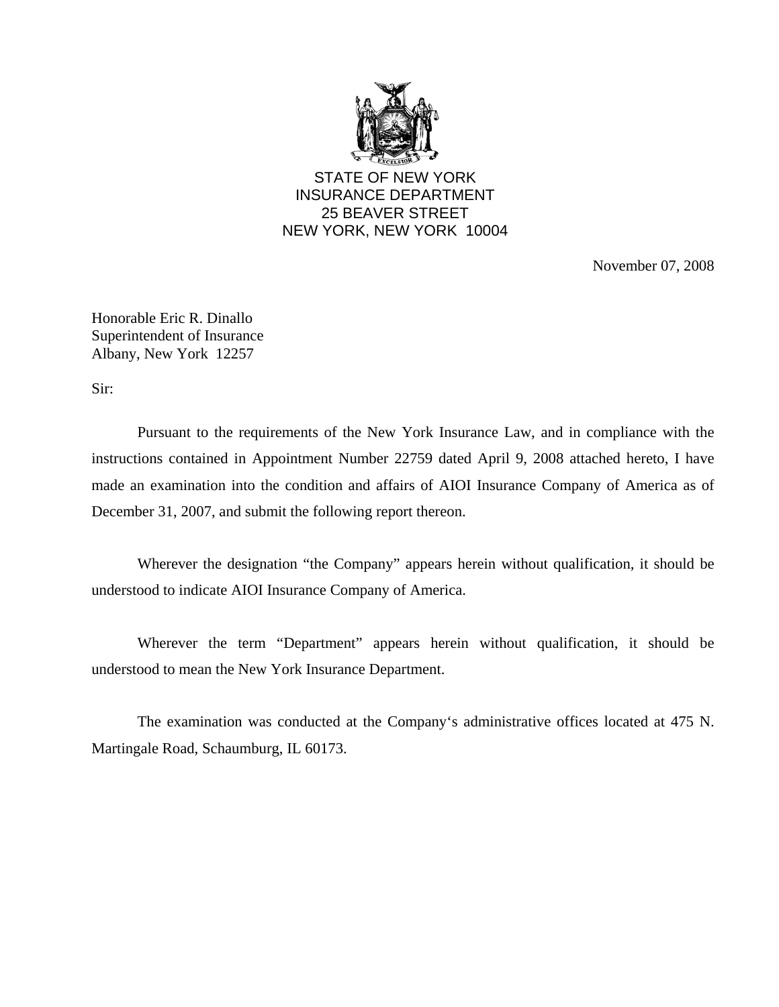

STATE OF NEW YORK INSURANCE DEPARTMENT 25 BEAVER STREET NEW YORK, NEW YORK 10004

November 07, 2008

Honorable Eric R. Dinallo Superintendent of Insurance Albany, New York 12257

Sir:

Pursuant to the requirements of the New York Insurance Law, and in compliance with the instructions contained in Appointment Number 22759 dated April 9, 2008 attached hereto, I have made an examination into the condition and affairs of AIOI Insurance Company of America as of December 31, 2007, and submit the following report thereon.

Wherever the designation "the Company" appears herein without qualification, it should be understood to indicate AIOI Insurance Company of America.

Wherever the term "Department" appears herein without qualification, it should be understood to mean the New York Insurance Department.

The examination was conducted at the Company's administrative offices located at 475 N. Martingale Road, Schaumburg, IL 60173.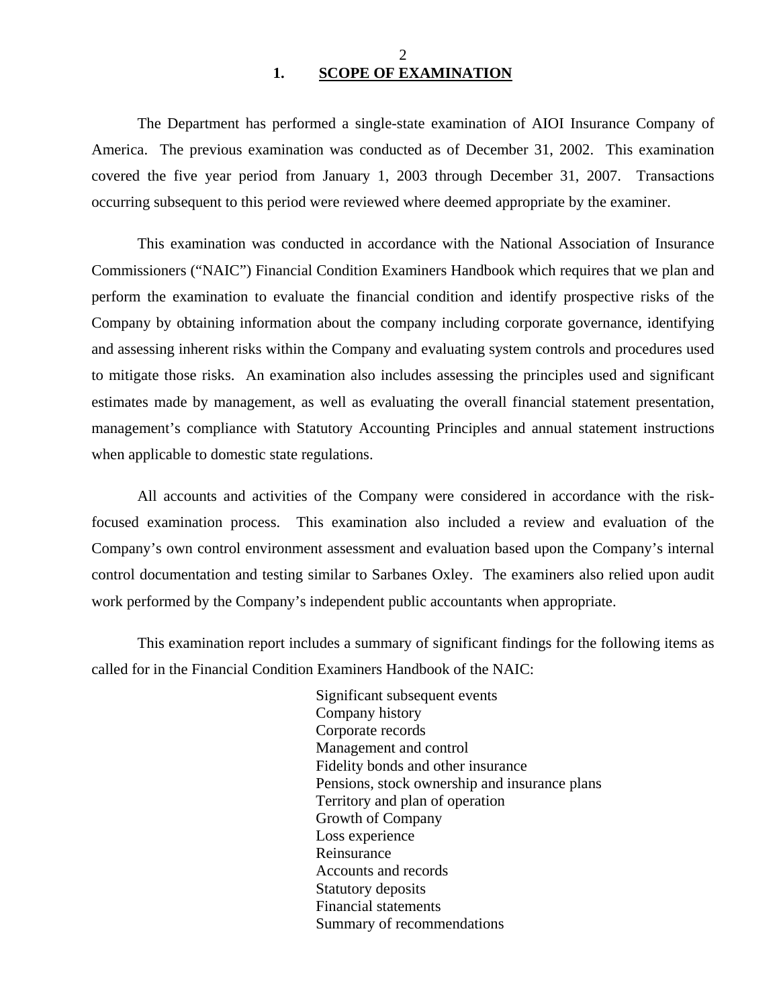### $\mathcal{D}_{\mathcal{L}}$ **1. SCOPE OF EXAMINATION**

<span id="page-3-0"></span>The Department has performed a single-state examination of AIOI Insurance Company of America. The previous examination was conducted as of December 31, 2002. This examination covered the five year period from January 1, 2003 through December 31, 2007. Transactions occurring subsequent to this period were reviewed where deemed appropriate by the examiner.

This examination was conducted in accordance with the National Association of Insurance Commissioners ("NAIC") Financial Condition Examiners Handbook which requires that we plan and perform the examination to evaluate the financial condition and identify prospective risks of the Company by obtaining information about the company including corporate governance, identifying and assessing inherent risks within the Company and evaluating system controls and procedures used to mitigate those risks. An examination also includes assessing the principles used and significant estimates made by management, as well as evaluating the overall financial statement presentation, management's compliance with Statutory Accounting Principles and annual statement instructions when applicable to domestic state regulations.

All accounts and activities of the Company were considered in accordance with the riskfocused examination process. This examination also included a review and evaluation of the Company's own control environment assessment and evaluation based upon the Company's internal control documentation and testing similar to Sarbanes Oxley. The examiners also relied upon audit work performed by the Company's independent public accountants when appropriate.

This examination report includes a summary of significant findings for the following items as called for in the Financial Condition Examiners Handbook of the NAIC:

> Significant subsequent events Company history Corporate records Management and control Fidelity bonds and other insurance Pensions, stock ownership and insurance plans Territory and plan of operation Growth of Company Loss experience Reinsurance Accounts and records Statutory deposits Financial statements Summary of recommendations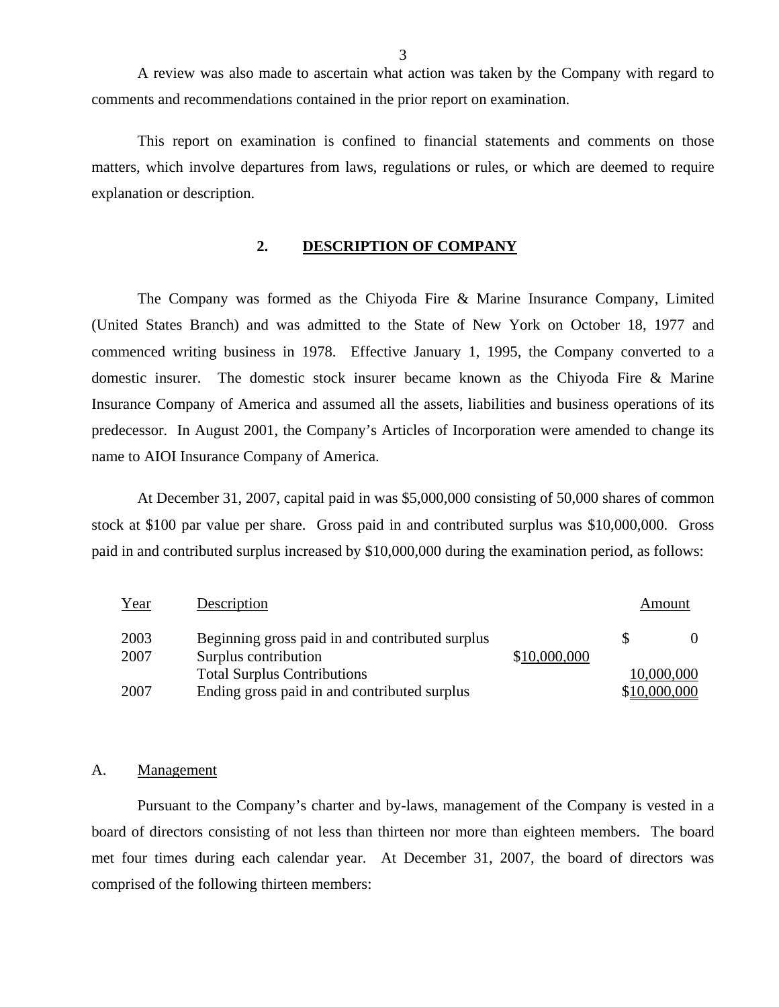<span id="page-4-0"></span>A review was also made to ascertain what action was taken by the Company with regard to comments and recommendations contained in the prior report on examination.

This report on examination is confined to financial statements and comments on those matters, which involve departures from laws, regulations or rules, or which are deemed to require explanation or description.

### **2. DESCRIPTION OF COMPANY**

The Company was formed as the Chiyoda Fire & Marine Insurance Company, Limited (United States Branch) and was admitted to the State of New York on October 18, 1977 and commenced writing business in 1978. Effective January 1, 1995, the Company converted to a domestic insurer. The domestic stock insurer became known as the Chiyoda Fire & Marine Insurance Company of America and assumed all the assets, liabilities and business operations of its predecessor. In August 2001, the Company's Articles of Incorporation were amended to change its name to AIOI Insurance Company of America.

At December 31, 2007, capital paid in was \$5,000,000 consisting of 50,000 shares of common stock at \$100 par value per share. Gross paid in and contributed surplus was \$10,000,000. Gross paid in and contributed surplus increased by \$10,000,000 during the examination period, as follows:

| Year | Description                                     |              |              | Amount     |
|------|-------------------------------------------------|--------------|--------------|------------|
| 2003 | Beginning gross paid in and contributed surplus |              |              |            |
| 2007 | Surplus contribution                            | \$10,000,000 |              |            |
|      | <b>Total Surplus Contributions</b>              |              |              | 10,000,000 |
| 2007 | Ending gross paid in and contributed surplus    |              | \$10,000,000 |            |

#### A. Management

Pursuant to the Company's charter and by-laws, management of the Company is vested in a board of directors consisting of not less than thirteen nor more than eighteen members. The board met four times during each calendar year. At December 31, 2007, the board of directors was comprised of the following thirteen members: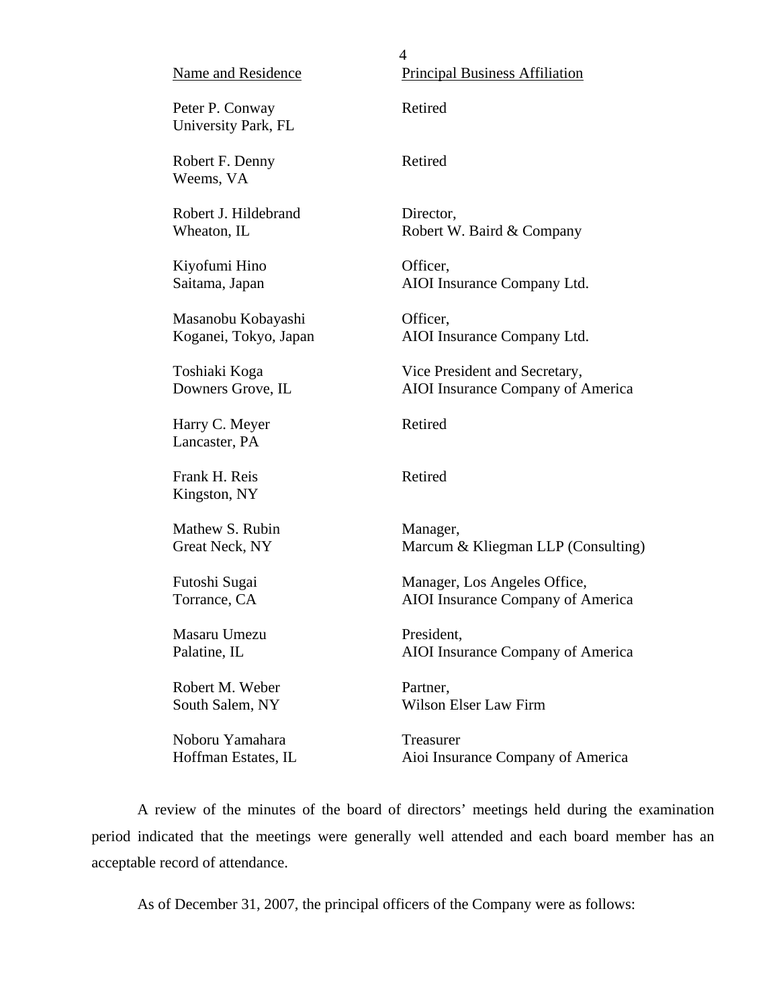| Name and Residence                     | 4<br><b>Principal Business Affiliation</b> |
|----------------------------------------|--------------------------------------------|
| Peter P. Conway<br>University Park, FL | Retired                                    |
| Robert F. Denny<br>Weems, VA           | Retired                                    |
| Robert J. Hildebrand                   | Director,                                  |
| Wheaton, IL                            | Robert W. Baird & Company                  |
| Kiyofumi Hino                          | Officer,                                   |
| Saitama, Japan                         | AIOI Insurance Company Ltd.                |
| Masanobu Kobayashi                     | Officer,                                   |
| Koganei, Tokyo, Japan                  | AIOI Insurance Company Ltd.                |
| Toshiaki Koga                          | Vice President and Secretary,              |
| Downers Grove, IL                      | AIOI Insurance Company of America          |
| Harry C. Meyer<br>Lancaster, PA        | Retired                                    |
| Frank H. Reis<br>Kingston, NY          | Retired                                    |
| Mathew S. Rubin                        | Manager,                                   |
| Great Neck, NY                         | Marcum & Kliegman LLP (Consulting)         |
| Futoshi Sugai                          | Manager, Los Angeles Office,               |
| Torrance, CA                           | AIOI Insurance Company of America          |
| Masaru Umezu                           | President,                                 |
| Palatine, IL                           | AIOI Insurance Company of America          |
| Robert M. Weber                        | Partner,                                   |
| South Salem, NY                        | Wilson Elser Law Firm                      |
| Noboru Yamahara                        | Treasurer                                  |
| Hoffman Estates, IL                    | Aioi Insurance Company of America          |
|                                        |                                            |

A review of the minutes of the board of directors' meetings held during the examination period indicated that the meetings were generally well attended and each board member has an acceptable record of attendance.

As of December 31, 2007, the principal officers of the Company were as follows: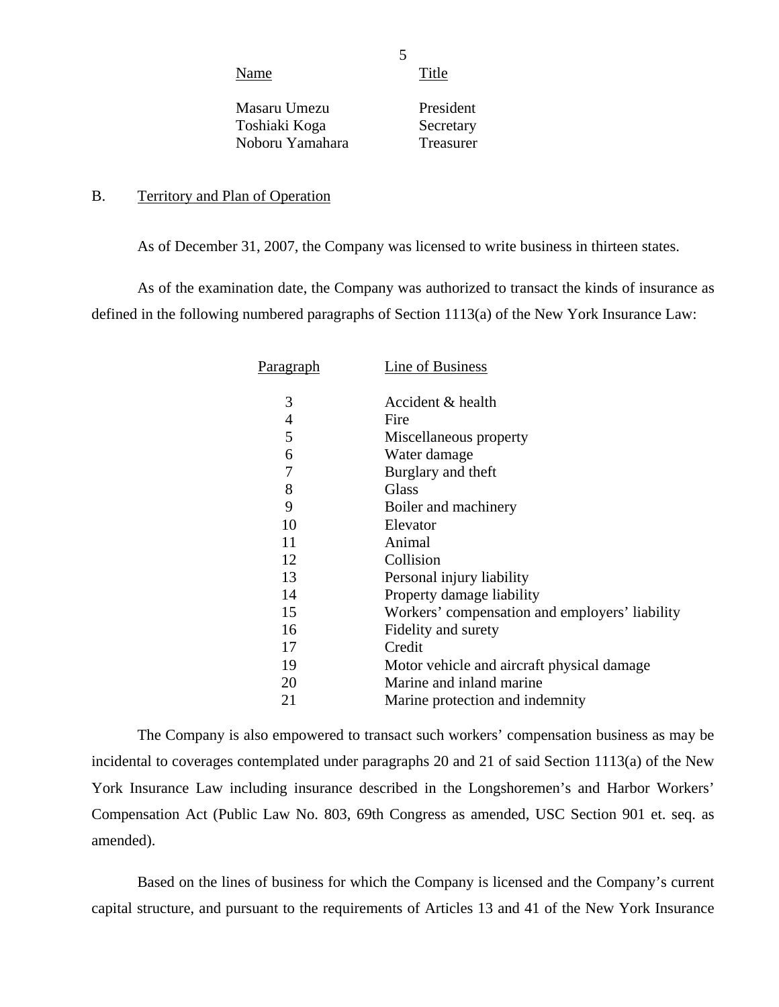Name Title

5

Masaru Umezu Toshiaki Koga Noboru Yamahara

President Secretary Treasurer

### B. Territory and Plan of Operation

As of December 31, 2007, the Company was licensed to write business in thirteen states.

As of the examination date, the Company was authorized to transact the kinds of insurance as defined in the following numbered paragraphs of Section 1113(a) of the New York Insurance Law:

| Paragraph | Line of Business                               |
|-----------|------------------------------------------------|
| 3         | Accident & health                              |
| 4         | Fire                                           |
| 5         | Miscellaneous property                         |
| 6         | Water damage                                   |
| 7         | Burglary and theft                             |
| 8         | <b>Glass</b>                                   |
| 9         | Boiler and machinery                           |
| 10        | Elevator                                       |
| 11        | Animal                                         |
| 12        | Collision                                      |
| 13        | Personal injury liability                      |
| 14        | Property damage liability                      |
| 15        | Workers' compensation and employers' liability |
| 16        | Fidelity and surety                            |
| 17        | Credit                                         |
| 19        | Motor vehicle and aircraft physical damage     |
| 20        | Marine and inland marine                       |
| 21        | Marine protection and indemnity                |

The Company is also empowered to transact such workers' compensation business as may be incidental to coverages contemplated under paragraphs 20 and 21 of said Section 1113(a) of the New York Insurance Law including insurance described in the Longshoremen's and Harbor Workers' Compensation Act (Public Law No. 803, 69th Congress as amended, USC Section 901 et. seq. as amended).

Based on the lines of business for which the Company is licensed and the Company's current capital structure, and pursuant to the requirements of Articles 13 and 41 of the New York Insurance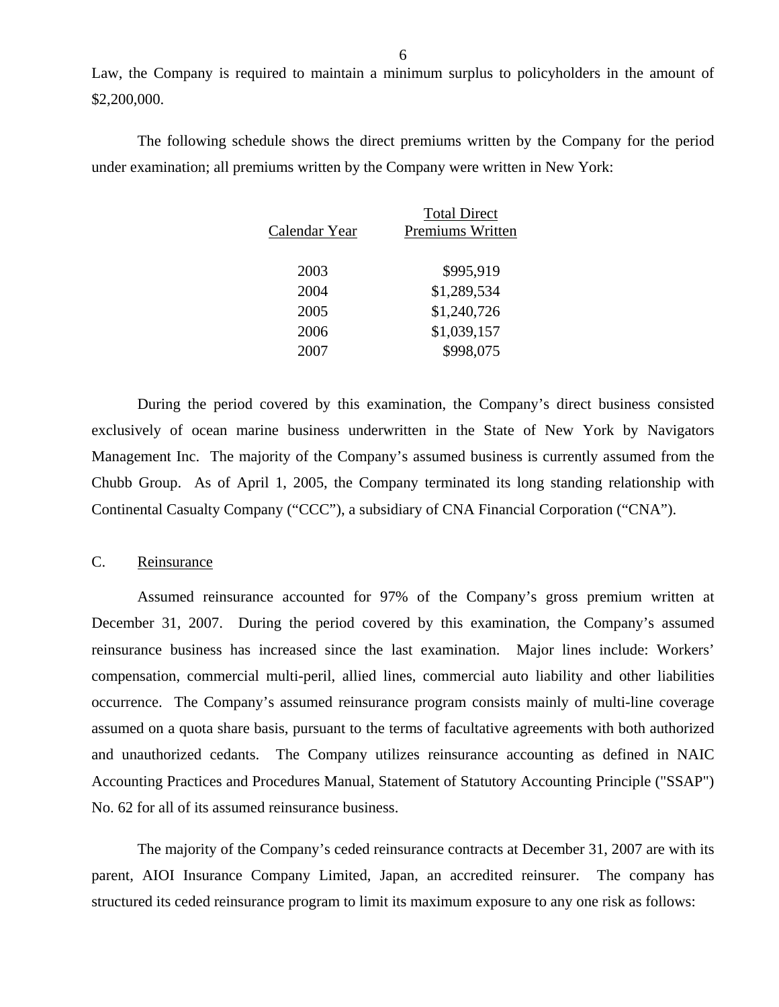Law, the Company is required to maintain a minimum surplus to policyholders in the amount of \$2,200,000.

The following schedule shows the direct premiums written by the Company for the period under examination; all premiums written by the Company were written in New York:

| <b>Total Direct</b><br>Premiums Written |
|-----------------------------------------|
| \$995,919                               |
| \$1,289,534                             |
| \$1,240,726                             |
| \$1,039,157                             |
| \$998,075                               |
|                                         |

During the period covered by this examination, the Company's direct business consisted exclusively of ocean marine business underwritten in the State of New York by Navigators Management Inc. The majority of the Company's assumed business is currently assumed from the Chubb Group. As of April 1, 2005, the Company terminated its long standing relationship with Continental Casualty Company ("CCC"), a subsidiary of CNA Financial Corporation ("CNA").

### C. Reinsurance

Assumed reinsurance accounted for 97% of the Company's gross premium written at December 31, 2007. During the period covered by this examination, the Company's assumed reinsurance business has increased since the last examination. Major lines include: Workers' compensation, commercial multi-peril, allied lines, commercial auto liability and other liabilities occurrence. The Company's assumed reinsurance program consists mainly of multi-line coverage assumed on a quota share basis, pursuant to the terms of facultative agreements with both authorized and unauthorized cedants. The Company utilizes reinsurance accounting as defined in NAIC Accounting Practices and Procedures Manual, Statement of Statutory Accounting Principle ("SSAP") No. 62 for all of its assumed reinsurance business.

The majority of the Company's ceded reinsurance contracts at December 31, 2007 are with its parent, AIOI Insurance Company Limited, Japan, an accredited reinsurer. The company has structured its ceded reinsurance program to limit its maximum exposure to any one risk as follows: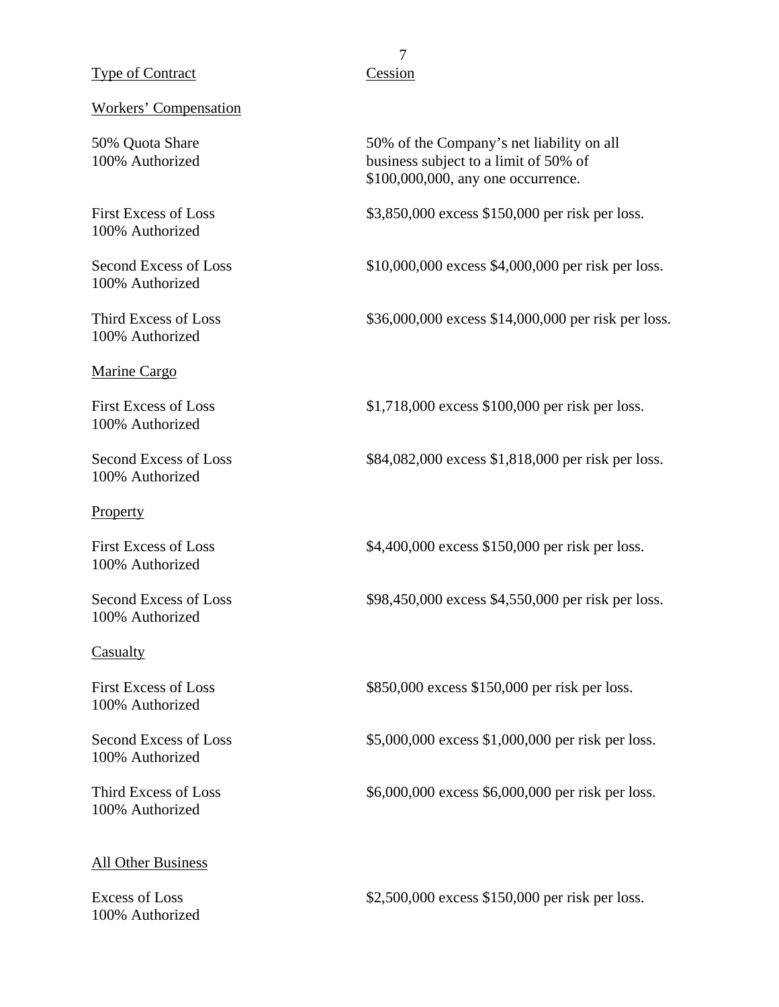### Type of Contract Cession

#### Workers' Compensation

100% Authorized

100% Authorized

100% Authorized

#### Marine Cargo

100% Authorized

100% Authorized

#### **Property**

100% Authorized

100% Authorized

### Casualty

100% Authorized

100% Authorized

100% Authorized

### All Other Business

100% Authorized

# 7

50% Quota Share 50% of the Company's net liability on all 100% Authorized business subject to a limit of 50% of \$100,000,000, any one occurrence.

First Excess of Loss \$3,850,000 excess \$150,000 per risk per loss.

Second Excess of Loss  $$10,000,000$  excess \$4,000,000 per risk per loss.

Third Excess of Loss \$36,000,000 excess \$14,000,000 per risk per loss.

First Excess of Loss  $$1,718,000$  excess \$100,000 per risk per loss.

Second Excess of Loss \$84,082,000 excess \$1,818,000 per risk per loss.

First Excess of Loss  $$4,400,000$  excess \$150,000 per risk per loss.

Second Excess of Loss  $$98,450,000$  excess \$4,550,000 per risk per loss.

First Excess of Loss \$850,000 excess \$150,000 per risk per loss.

Second Excess of Loss  $$5,000,000$  excess \$1,000,000 per risk per loss.

Third Excess of Loss  $$6,000,000$  excess \$6,000,000 per risk per loss.

Excess of Loss \$2,500,000 excess \$150,000 per risk per loss.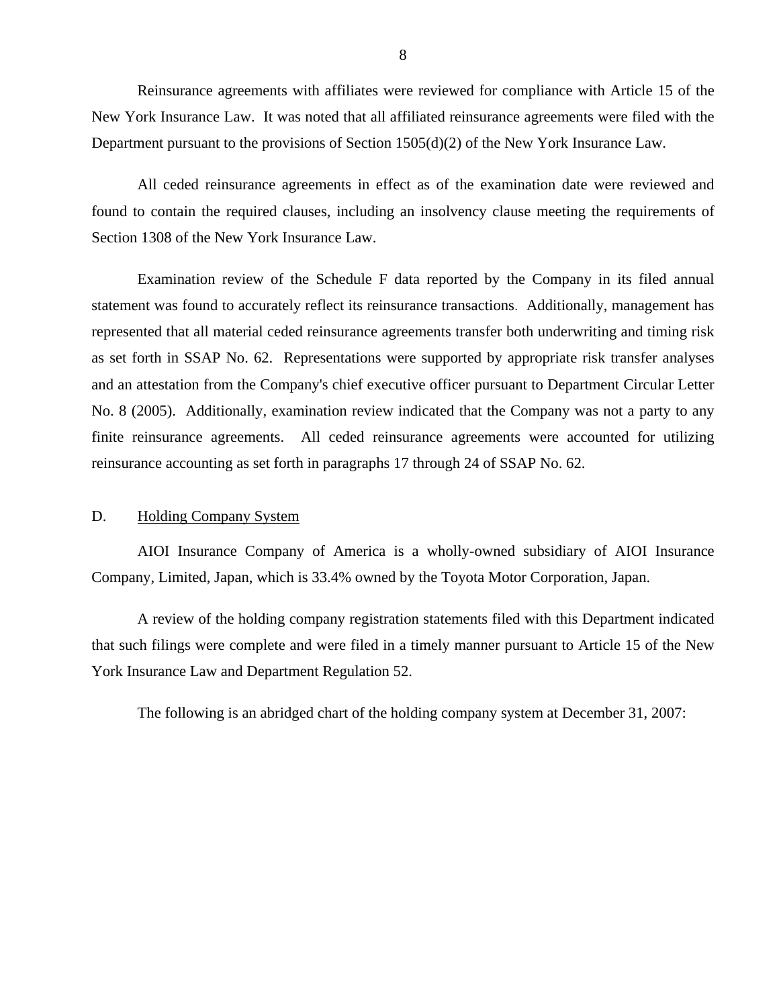<span id="page-9-0"></span>Reinsurance agreements with affiliates were reviewed for compliance with Article 15 of the New York Insurance Law. It was noted that all affiliated reinsurance agreements were filed with the Department pursuant to the provisions of Section 1505(d)(2) of the New York Insurance Law.

All ceded reinsurance agreements in effect as of the examination date were reviewed and found to contain the required clauses, including an insolvency clause meeting the requirements of Section 1308 of the New York Insurance Law.

Examination review of the Schedule F data reported by the Company in its filed annual statement was found to accurately reflect its reinsurance transactions. Additionally, management has represented that all material ceded reinsurance agreements transfer both underwriting and timing risk as set forth in SSAP No. 62. Representations were supported by appropriate risk transfer analyses and an attestation from the Company's chief executive officer pursuant to Department Circular Letter No. 8 (2005). Additionally, examination review indicated that the Company was not a party to any finite reinsurance agreements. All ceded reinsurance agreements were accounted for utilizing reinsurance accounting as set forth in paragraphs 17 through 24 of SSAP No. 62.

### D. Holding Company System

AIOI Insurance Company of America is a wholly-owned subsidiary of AIOI Insurance Company, Limited, Japan, which is 33.4% owned by the Toyota Motor Corporation, Japan.

A review of the holding company registration statements filed with this Department indicated that such filings were complete and were filed in a timely manner pursuant to Article 15 of the New York Insurance Law and Department Regulation 52.

The following is an abridged chart of the holding company system at December 31, 2007: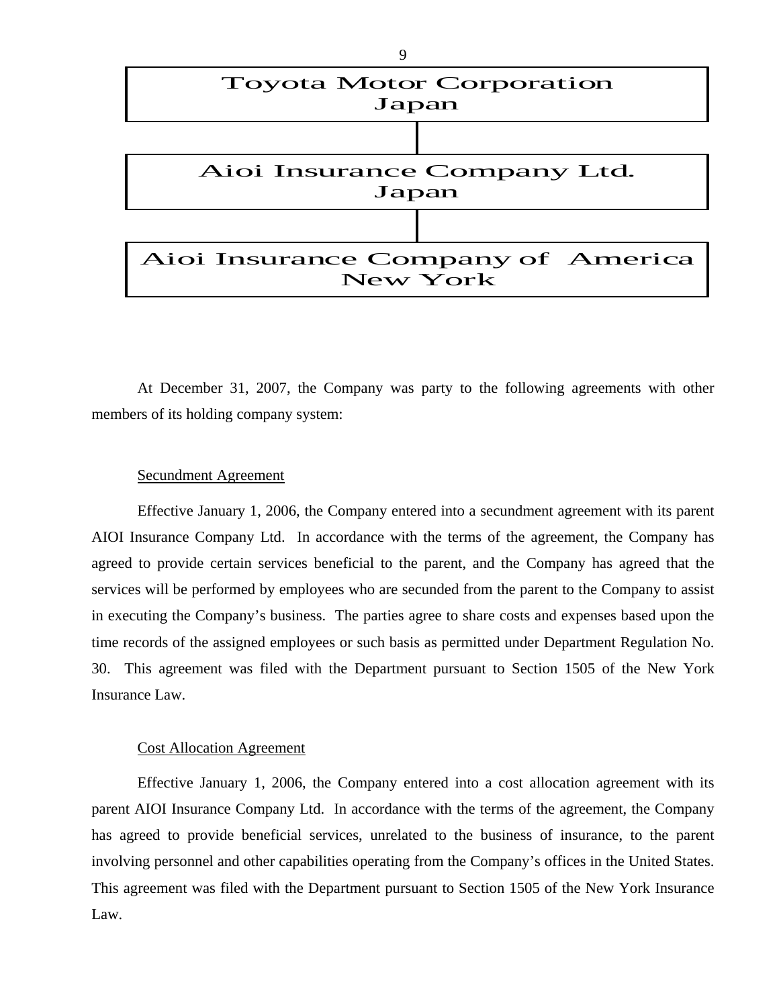

At December 31, 2007, the Company was party to the following agreements with other members of its holding company system:

### Secundment Agreement

Effective January 1, 2006, the Company entered into a secundment agreement with its parent AIOI Insurance Company Ltd. In accordance with the terms of the agreement, the Company has agreed to provide certain services beneficial to the parent, and the Company has agreed that the services will be performed by employees who are secunded from the parent to the Company to assist in executing the Company's business. The parties agree to share costs and expenses based upon the time records of the assigned employees or such basis as permitted under Department Regulation No. 30. This agreement was filed with the Department pursuant to Section 1505 of the New York Insurance Law.

### Cost Allocation Agreement

Effective January 1, 2006, the Company entered into a cost allocation agreement with its parent AIOI Insurance Company Ltd. In accordance with the terms of the agreement, the Company has agreed to provide beneficial services, unrelated to the business of insurance, to the parent involving personnel and other capabilities operating from the Company's offices in the United States. This agreement was filed with the Department pursuant to Section 1505 of the New York Insurance Law.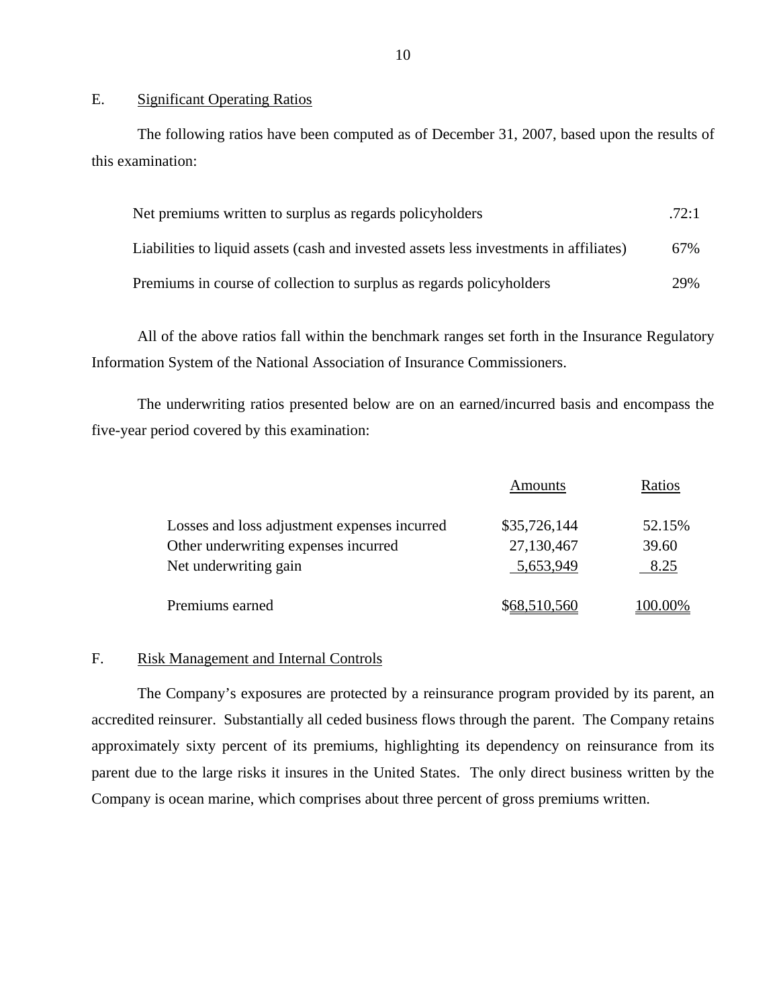### E. Significant Operating Ratios

The following ratios have been computed as of December 31, 2007, based upon the results of this examination:

| Net premiums written to surplus as regards policyholders                               | .72:1 |
|----------------------------------------------------------------------------------------|-------|
| Liabilities to liquid assets (cash and invested assets less investments in affiliates) | 67%   |
| Premiums in course of collection to surplus as regards policyholders                   | 29%   |

All of the above ratios fall within the benchmark ranges set forth in the Insurance Regulatory Information System of the National Association of Insurance Commissioners.

The underwriting ratios presented below are on an earned/incurred basis and encompass the five-year period covered by this examination:

|                                              | Amounts      | Ratios  |
|----------------------------------------------|--------------|---------|
| Losses and loss adjustment expenses incurred | \$35,726,144 | 52.15%  |
| Other underwriting expenses incurred         | 27,130,467   | 39.60   |
| Net underwriting gain                        | 5,653,949    | 8.25    |
| Premiums earned                              | \$68,510,560 | 100.00% |

### F. Risk Management and Internal Controls

The Company's exposures are protected by a reinsurance program provided by its parent, an accredited reinsurer. Substantially all ceded business flows through the parent. The Company retains approximately sixty percent of its premiums, highlighting its dependency on reinsurance from its parent due to the large risks it insures in the United States. The only direct business written by the Company is ocean marine, which comprises about three percent of gross premiums written.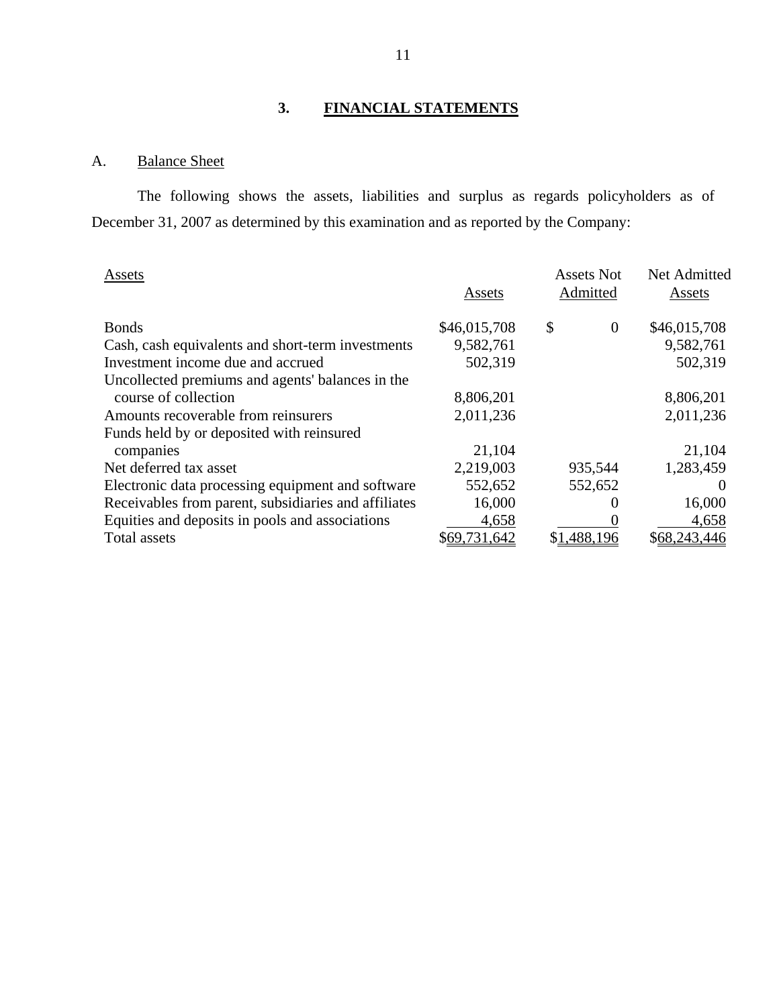# **3. FINANCIAL STATEMENTS**

# A. Balance Sheet

The following shows the assets, liabilities and surplus as regards policyholders as of December 31, 2007 as determined by this examination and as reported by the Company:

| Assets                                               |              | <b>Assets Not</b>    | Net Admitted |
|------------------------------------------------------|--------------|----------------------|--------------|
|                                                      | Assets       | Admitted             | Assets       |
| <b>Bonds</b>                                         | \$46,015,708 | \$<br>$\overline{0}$ | \$46,015,708 |
| Cash, cash equivalents and short-term investments    | 9,582,761    |                      | 9,582,761    |
| Investment income due and accrued                    | 502,319      |                      | 502,319      |
| Uncollected premiums and agents' balances in the     |              |                      |              |
| course of collection                                 | 8,806,201    |                      | 8,806,201    |
| Amounts recoverable from reinsurers                  | 2,011,236    |                      | 2,011,236    |
| Funds held by or deposited with reinsured            |              |                      |              |
| companies                                            | 21,104       |                      | 21,104       |
| Net deferred tax asset                               | 2,219,003    | 935,544              | 1,283,459    |
| Electronic data processing equipment and software    | 552,652      | 552,652              | $\theta$     |
| Receivables from parent, subsidiaries and affiliates | 16,000       |                      | 16,000       |
| Equities and deposits in pools and associations      | 4,658        |                      | 4,658        |
| Total assets                                         | \$69,731,642 | \$1,488,196          | \$68,243,446 |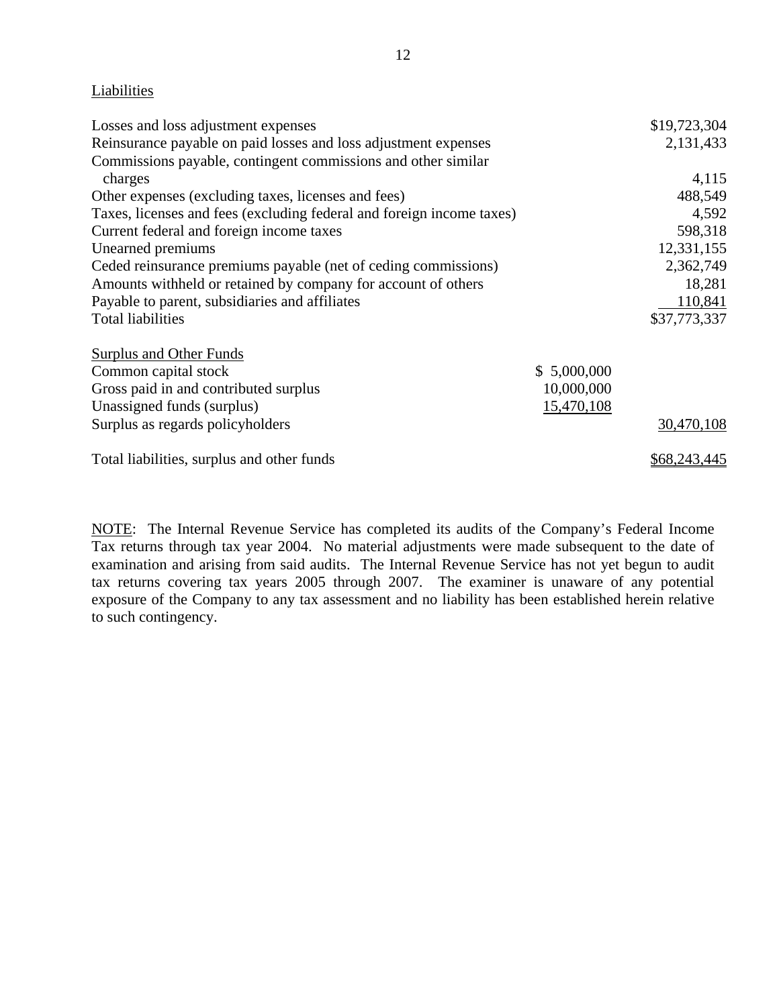# Liabilities

| Liabilities                                                           |             |              |
|-----------------------------------------------------------------------|-------------|--------------|
| Losses and loss adjustment expenses                                   |             | \$19,723,304 |
| Reinsurance payable on paid losses and loss adjustment expenses       |             | 2,131,433    |
| Commissions payable, contingent commissions and other similar         |             |              |
| charges                                                               |             | 4,115        |
| Other expenses (excluding taxes, licenses and fees)                   |             | 488,549      |
| Taxes, licenses and fees (excluding federal and foreign income taxes) |             | 4,592        |
| Current federal and foreign income taxes                              |             | 598,318      |
| Unearned premiums                                                     |             | 12,331,155   |
| Ceded reinsurance premiums payable (net of ceding commissions)        |             | 2,362,749    |
| Amounts withheld or retained by company for account of others         |             | 18,281       |
| Payable to parent, subsidiaries and affiliates                        |             | 110,841      |
| <b>Total liabilities</b>                                              |             | \$37,773,337 |
| <b>Surplus and Other Funds</b>                                        |             |              |
| Common capital stock                                                  | \$5,000,000 |              |
| Gross paid in and contributed surplus                                 | 10,000,000  |              |
| Unassigned funds (surplus)                                            | 15,470,108  |              |
| Surplus as regards policyholders                                      |             | 30,470,108   |
| Total liabilities, surplus and other funds                            |             | \$68,243,445 |

NOTE: The Internal Revenue Service has completed its audits of the Company's Federal Income Tax returns through tax year 2004. No material adjustments were made subsequent to the date of examination and arising from said audits. The Internal Revenue Service has not yet begun to audit tax returns covering tax years 2005 through 2007. The examiner is unaware of any potential exposure of the Company to any tax assessment and no liability has been established herein relative to such contingency.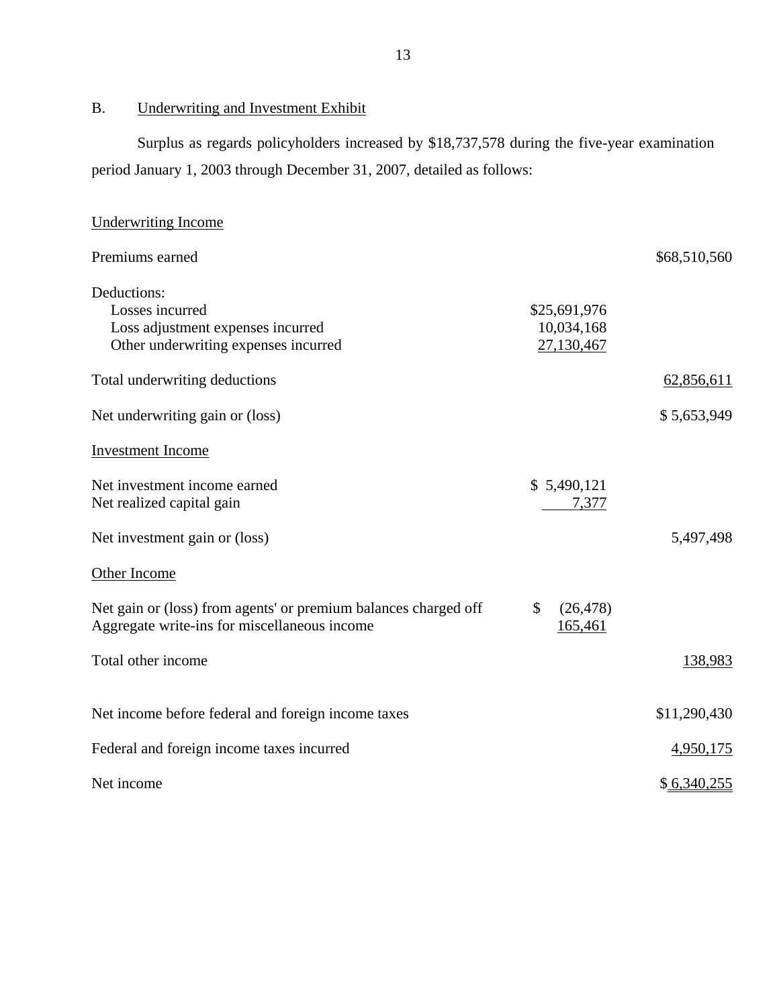B. Underwriting and Investment Exhibit

Surplus as regards policyholders increased by \$18,737,578 during the five-year examination period January 1, 2003 through December 31, 2007, detailed as follows:

| <b>Underwriting Income</b>                                      |                 |              |
|-----------------------------------------------------------------|-----------------|--------------|
| Premiums earned                                                 |                 | \$68,510,560 |
| Deductions:                                                     |                 |              |
| Losses incurred                                                 | \$25,691,976    |              |
| Loss adjustment expenses incurred                               | 10,034,168      |              |
| Other underwriting expenses incurred                            | 27,130,467      |              |
| Total underwriting deductions                                   |                 | 62,856,611   |
| Net underwriting gain or (loss)                                 |                 | \$5,653,949  |
| <b>Investment Income</b>                                        |                 |              |
| Net investment income earned                                    | \$5,490,121     |              |
| Net realized capital gain                                       | 7,377           |              |
| Net investment gain or (loss)                                   |                 | 5,497,498    |
| Other Income                                                    |                 |              |
| Net gain or (loss) from agents' or premium balances charged off | \$<br>(26, 478) |              |
| Aggregate write-ins for miscellaneous income                    | 165,461         |              |
| Total other income                                              |                 | 138,983      |
| Net income before federal and foreign income taxes              |                 | \$11,290,430 |
|                                                                 |                 |              |
| Federal and foreign income taxes incurred                       |                 | 4,950,175    |
| Net income                                                      |                 | \$6,340,255  |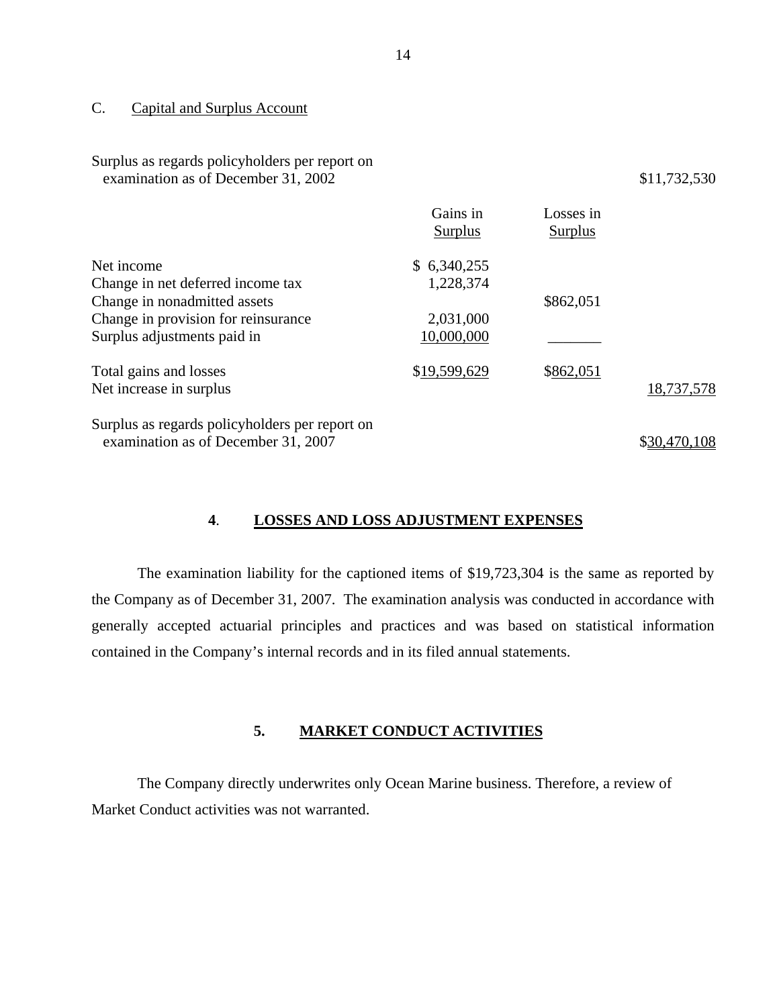### C. Capital and Surplus Account

Surplus as regards policyholders per report on

|                                                | Gains in<br>Surplus | Losses in<br><b>Surplus</b> |              |
|------------------------------------------------|---------------------|-----------------------------|--------------|
| Net income                                     | \$6,340,255         |                             |              |
| Change in net deferred income tax              | 1,228,374           |                             |              |
| Change in nonadmitted assets                   |                     | \$862,051                   |              |
| Change in provision for reinsurance            | 2,031,000           |                             |              |
| Surplus adjustments paid in                    | 10,000,000          |                             |              |
| Total gains and losses                         | \$19,599,629        | \$862,051                   |              |
| Net increase in surplus                        |                     |                             | 18,737,578   |
| Surplus as regards policyholders per report on |                     |                             |              |
| examination as of December 31, 2007            |                     |                             | \$30,470,108 |

### **4**. **LOSSES AND LOSS ADJUSTMENT EXPENSES**

The examination liability for the captioned items of \$19,723,304 is the same as reported by the Company as of December 31, 2007. The examination analysis was conducted in accordance with generally accepted actuarial principles and practices and was based on statistical information contained in the Company's internal records and in its filed annual statements.

### **5. MARKET CONDUCT ACTIVITIES**

The Company directly underwrites only Ocean Marine business. Therefore, a review of Market Conduct activities was not warranted.

examination as of December  $31, 2002$   $$11,732,530$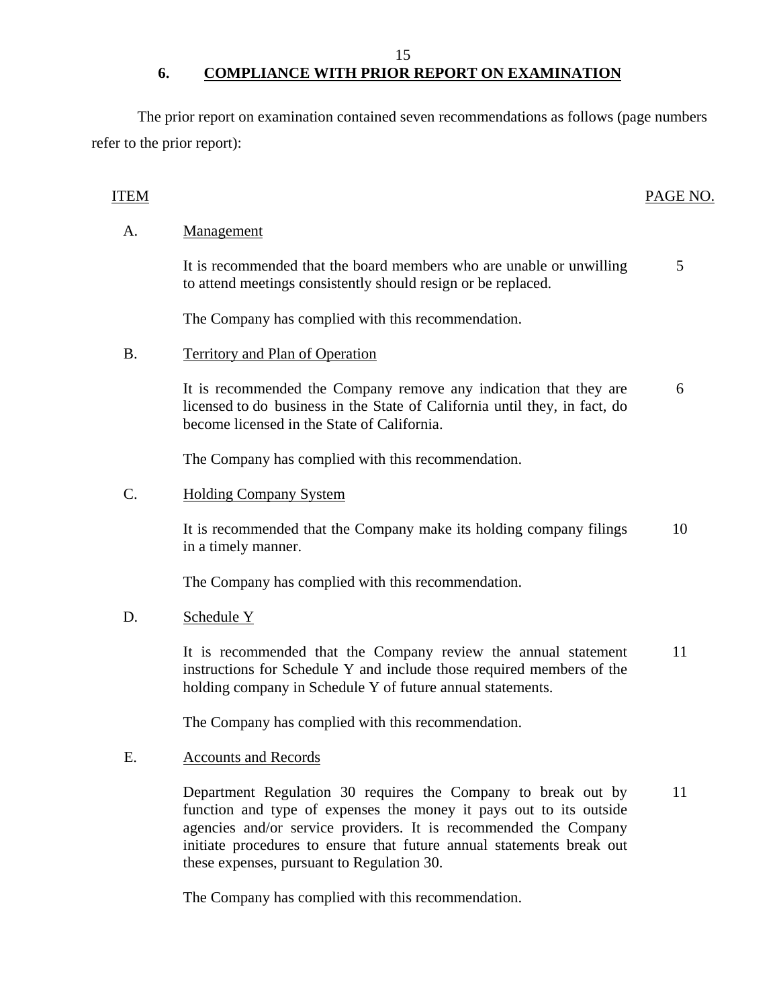15

# **6. COMPLIANCE WITH PRIOR REPORT ON EXAMINATION**

The prior report on examination contained seven recommendations as follows (page numbers refer to the prior report):

# **ITEM**

### PAGE NO.

# A. Management

It is recommended that the board members who are unable or unwilling to attend meetings consistently should resign or be replaced. 5

The Company has complied with this recommendation.

# B. Territory and Plan of Operation

It is recommended the Company remove any indication that they are licensed to do business in the State of California until they, in fact, do become licensed in the State of California. 6

The Company has complied with this recommendation.

### C. **Holding Company System**

It is recommended that the Company make its holding company filings in a timely manner. 10

The Company has complied with this recommendation.

### D. Schedule Y

It is recommended that the Company review the annual statement instructions for Schedule Y and include those required members of the holding company in Schedule Y of future annual statements. 11

The Company has complied with this recommendation.

### E. Accounts and Records

Department Regulation 30 requires the Company to break out by function and type of expenses the money it pays out to its outside agencies and/or service providers. It is recommended the Company initiate procedures to ensure that future annual statements break out these expenses, pursuant to Regulation 30. 11

The Company has complied with this recommendation.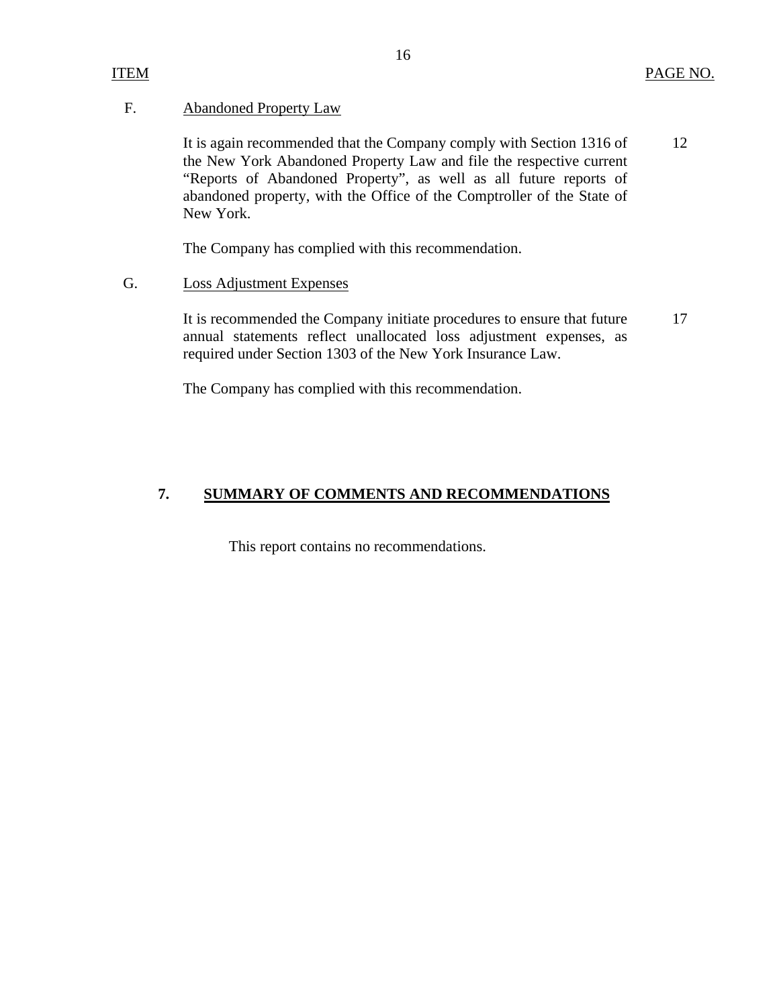### F. Abandoned Property Law

It is again recommended that the Company comply with Section 1316 of the New York Abandoned Property Law and file the respective current "Reports of Abandoned Property", as well as all future reports of abandoned property, with the Office of the Comptroller of the State of New York. 12

The Company has complied with this recommendation.

### G. Loss Adjustment Expenses

It is recommended the Company initiate procedures to ensure that future annual statements reflect unallocated loss adjustment expenses, as required under Section 1303 of the New York Insurance Law. 17

The Company has complied with this recommendation.

# **7. SUMMARY OF COMMENTS AND RECOMMENDATIONS**

This report contains no recommendations.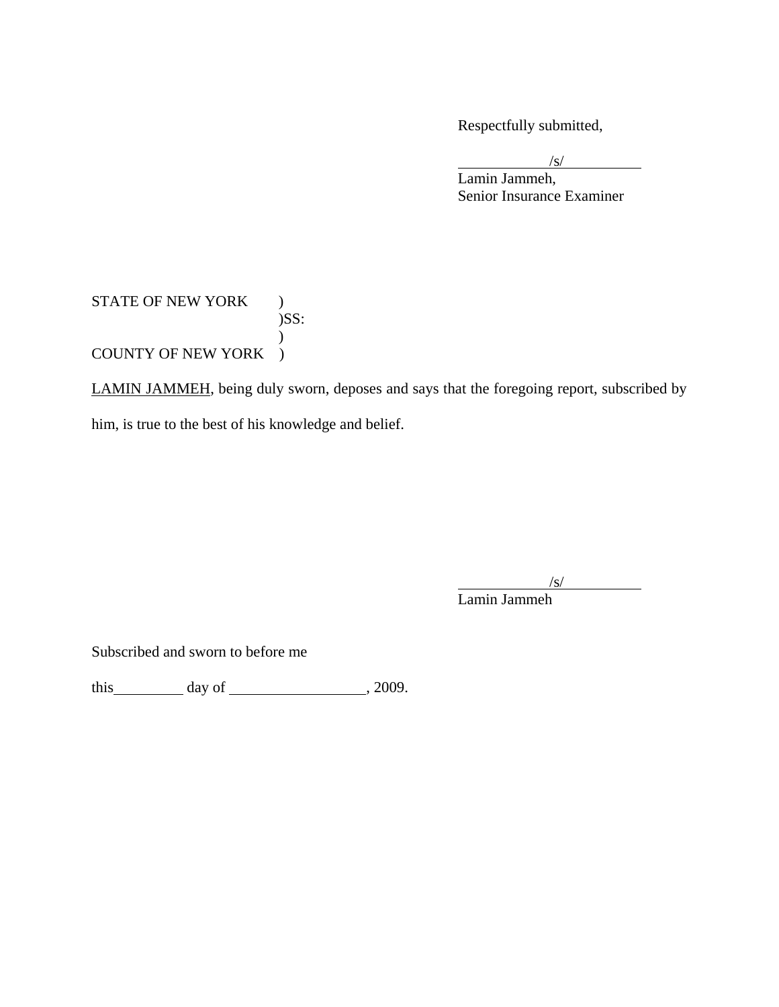Respectfully submitted,

 $\sqrt{s}$  $\sqrt{s}$ 

 Lamin Jammeh, Senior Insurance Examiner

# STATE OF NEW YORK ) )SS:  $\mathcal{L}$ COUNTY OF NEW YORK )

LAMIN JAMMEH, being duly sworn, deposes and says that the foregoing report, subscribed by him, is true to the best of his knowledge and belief.

 $\sqrt{s}$ 

 $\overline{\phantom{a}}$ 

Lamin Jammeh

Subscribed and sworn to before me

this day of  $\frac{1}{2009}$ .